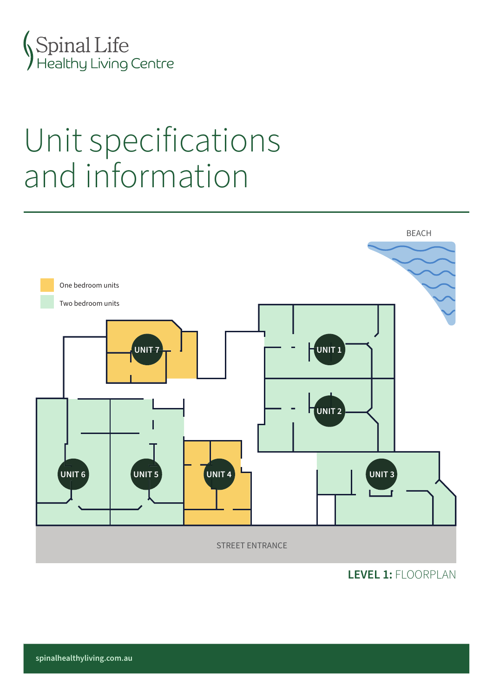

# Unit specifications and information



### **LEVEL 1:** FLOORPLAN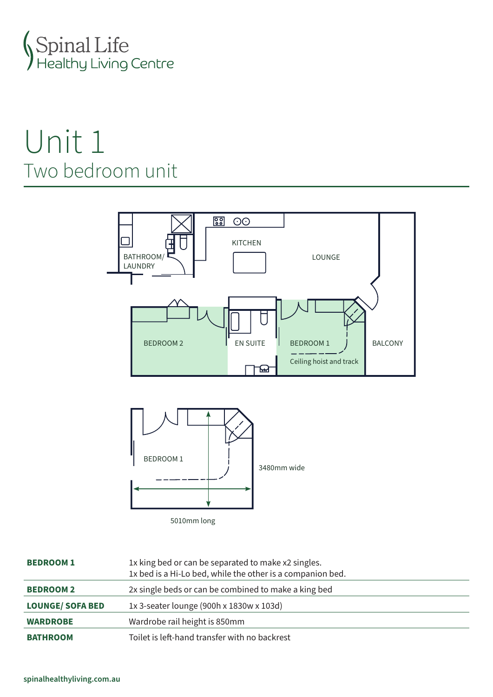

## Unit 1 Two bedroom unit





**BEDROOM 1** 1x king bed or can be separated to make x2 singles. 1x bed is a Hi-Lo bed, while the other is a companion bed. **BEDROOM 2** 2x single beds or can be combined to make a king bed **LOUNGE/ SOFA BED** 1x 3-seater lounge (900h x 1830w x 103d) **WARDROBE** Wardrobe rail height is 850mm **BATHROOM** Toilet is left-hand transfer with no backrest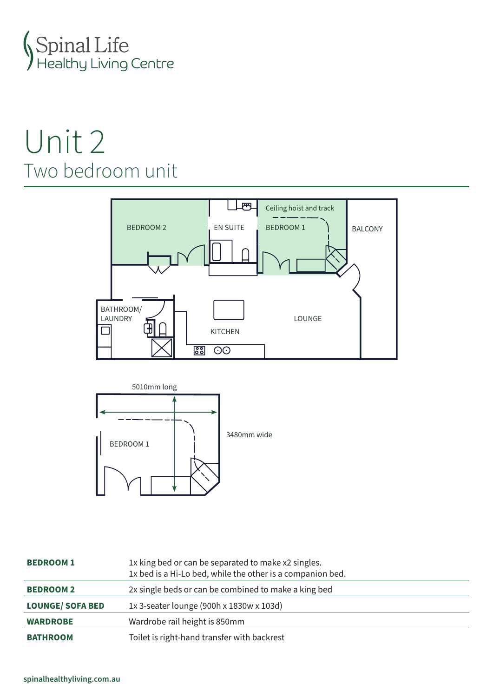

### Unit 2 Two bedroom unit



| <b>BEDROOM1</b>         | 1x king bed or can be separated to make x2 singles.<br>1x bed is a Hi-Lo bed, while the other is a companion bed. |
|-------------------------|-------------------------------------------------------------------------------------------------------------------|
| <b>BEDROOM2</b>         | 2x single beds or can be combined to make a king bed                                                              |
| <b>LOUNGE/ SOFA BED</b> | 1x 3-seater lounge (900h x 1830w x 103d)                                                                          |
| <b>WARDROBE</b>         | Wardrobe rail height is 850mm                                                                                     |
| <b>BATHROOM</b>         | Toilet is right-hand transfer with backrest                                                                       |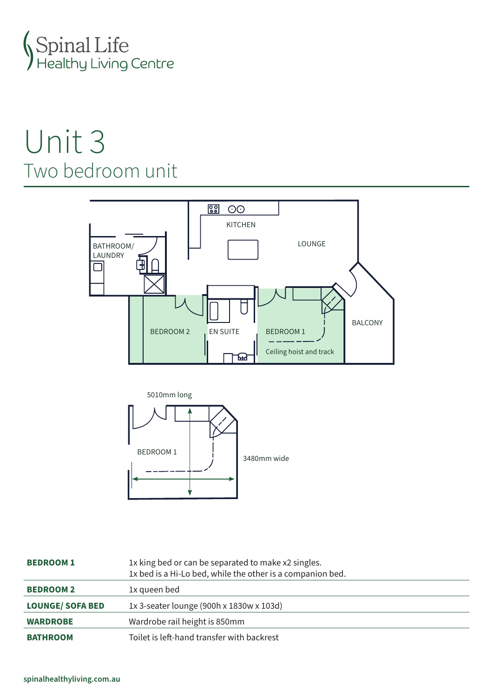

### Unit 3 Two bedroom unit





| <b>BEDROOM1</b>         | 1x king bed or can be separated to make x2 singles.<br>1x bed is a Hi-Lo bed, while the other is a companion bed. |
|-------------------------|-------------------------------------------------------------------------------------------------------------------|
| <b>BEDROOM2</b>         | 1x queen bed                                                                                                      |
| <b>LOUNGE/ SOFA BED</b> | 1x 3-seater lounge (900h x 1830w x 103d)                                                                          |
| <b>WARDROBE</b>         | Wardrobe rail height is 850mm                                                                                     |
| <b>BATHROOM</b>         | Toilet is left-hand transfer with backrest                                                                        |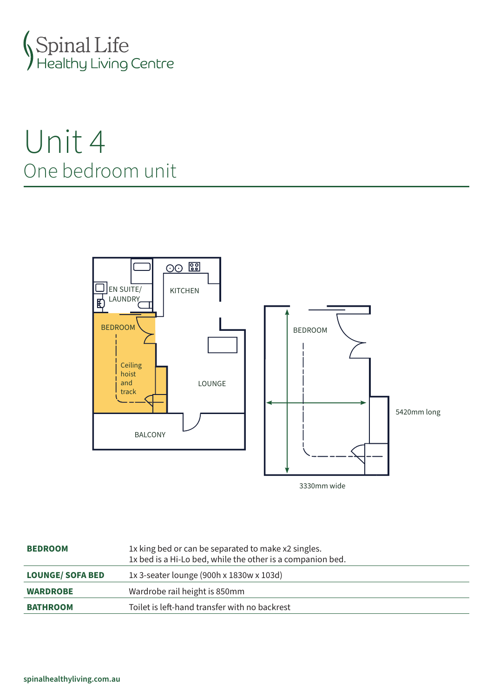

### Unit 4 One bedroom unit



| <b>BEDROOM</b>          | 1x king bed or can be separated to make x2 singles.<br>1x bed is a Hi-Lo bed, while the other is a companion bed. |
|-------------------------|-------------------------------------------------------------------------------------------------------------------|
| <b>LOUNGE/ SOFA BED</b> | 1x 3-seater lounge (900h x 1830w x 103d)                                                                          |
| <b>WARDROBE</b>         | Wardrobe rail height is 850mm                                                                                     |
| <b>BATHROOM</b>         | Toilet is left-hand transfer with no backrest                                                                     |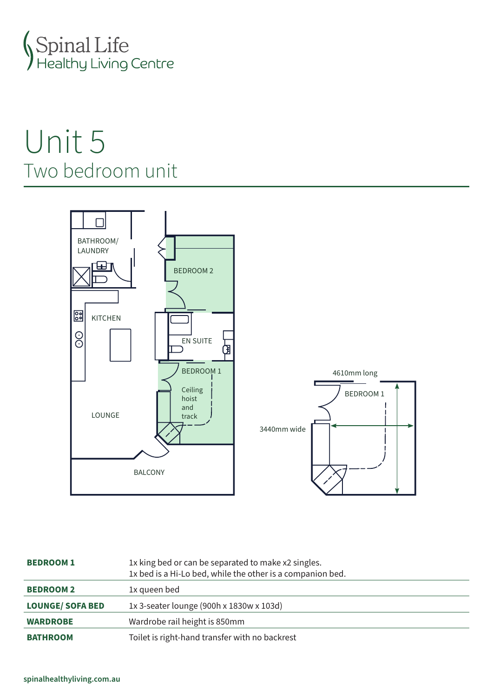

## Unit 5 Two bedroom unit



| <b>BEDROOM1</b>         | 1x king bed or can be separated to make x2 singles.<br>1x bed is a Hi-Lo bed, while the other is a companion bed. |
|-------------------------|-------------------------------------------------------------------------------------------------------------------|
| <b>BEDROOM2</b>         | 1x queen bed                                                                                                      |
| <b>LOUNGE/ SOFA BED</b> | 1x 3-seater lounge (900h x 1830w x 103d)                                                                          |
| <b>WARDROBE</b>         | Wardrobe rail height is 850mm                                                                                     |
| <b>BATHROOM</b>         | Toilet is right-hand transfer with no backrest                                                                    |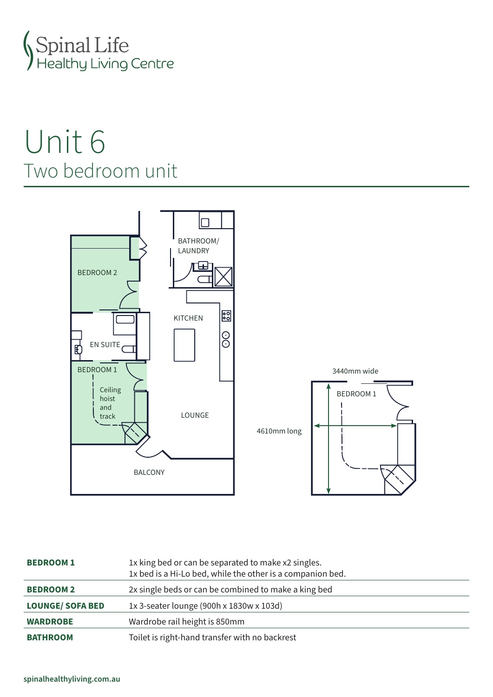

### Unit 6 Two bedroom unit



| <b>BEDROOM1</b>         | 1x king bed or can be separated to make x2 singles.<br>1x bed is a Hi-Lo bed, while the other is a companion bed. |
|-------------------------|-------------------------------------------------------------------------------------------------------------------|
| <b>BEDROOM2</b>         | 2x single beds or can be combined to make a king bed                                                              |
| <b>LOUNGE/ SOFA BED</b> | 1x 3-seater lounge (900h x 1830w x 103d)                                                                          |
| <b>WARDROBE</b>         | Wardrobe rail height is 850mm                                                                                     |
| <b>BATHROOM</b>         | Toilet is right-hand transfer with no backrest                                                                    |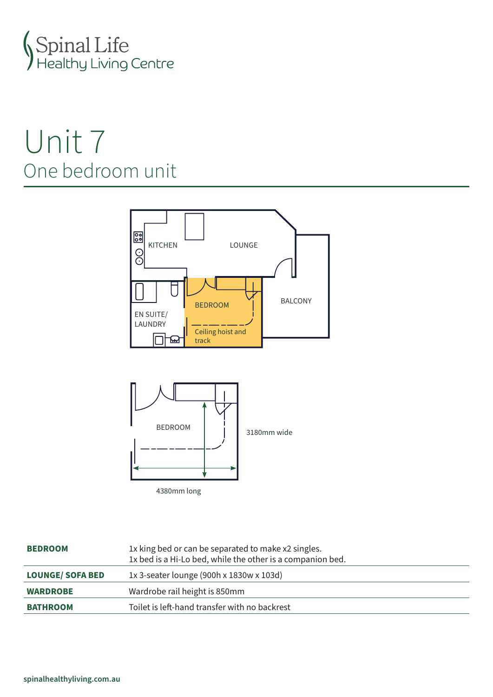

## Unit 7 One bedroom unit





| <b>BEDROOM</b>          | 1x king bed or can be separated to make x2 singles.<br>1x bed is a Hi-Lo bed, while the other is a companion bed. |
|-------------------------|-------------------------------------------------------------------------------------------------------------------|
| <b>LOUNGE/ SOFA BED</b> | 1x 3-seater lounge (900h x 1830w x 103d)                                                                          |
| <b>WARDROBE</b>         | Wardrobe rail height is 850mm                                                                                     |
| <b>BATHROOM</b>         | Toilet is left-hand transfer with no backrest                                                                     |